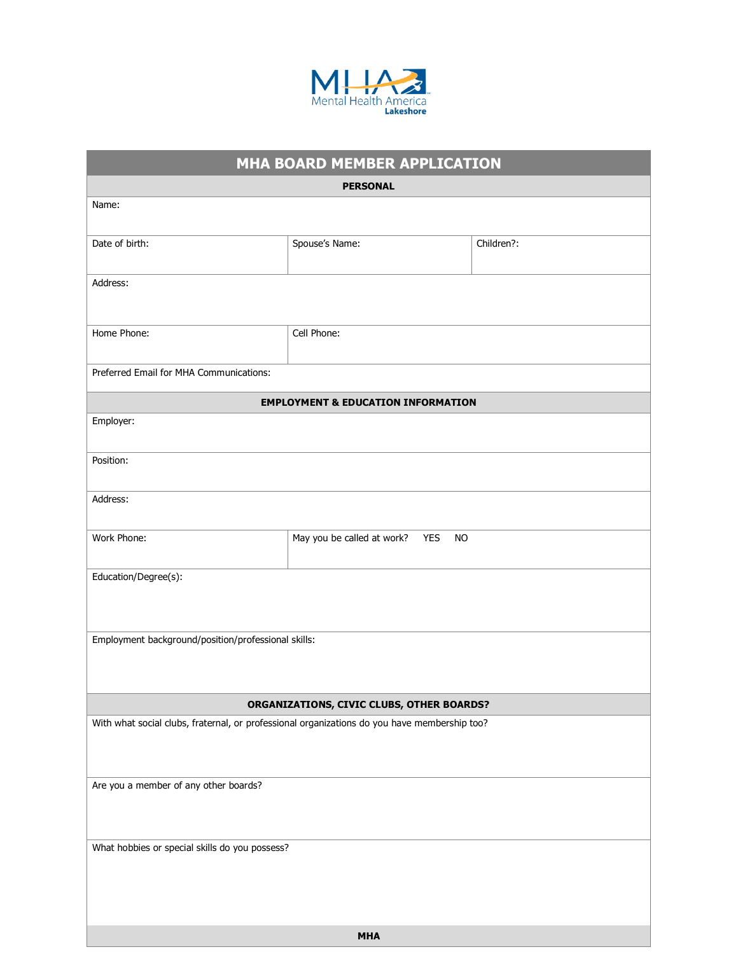

## **MHA BOARD MEMBER APPLICATION**

| <b>PERSONAL</b>                                                                              |                                                       |            |  |
|----------------------------------------------------------------------------------------------|-------------------------------------------------------|------------|--|
| Name:                                                                                        |                                                       |            |  |
|                                                                                              |                                                       |            |  |
| Date of birth:                                                                               | Spouse's Name:                                        | Children?: |  |
| Address:                                                                                     |                                                       |            |  |
|                                                                                              |                                                       |            |  |
|                                                                                              |                                                       |            |  |
| Home Phone:                                                                                  | Cell Phone:                                           |            |  |
| Preferred Email for MHA Communications:                                                      |                                                       |            |  |
|                                                                                              |                                                       |            |  |
| <b>EMPLOYMENT &amp; EDUCATION INFORMATION</b>                                                |                                                       |            |  |
| Employer:                                                                                    |                                                       |            |  |
| Position:                                                                                    |                                                       |            |  |
|                                                                                              |                                                       |            |  |
| Address:                                                                                     |                                                       |            |  |
|                                                                                              |                                                       |            |  |
| Work Phone:                                                                                  | May you be called at work?<br><b>YES</b><br><b>NO</b> |            |  |
|                                                                                              |                                                       |            |  |
| Education/Degree(s):                                                                         |                                                       |            |  |
|                                                                                              |                                                       |            |  |
| Employment background/position/professional skills:                                          |                                                       |            |  |
|                                                                                              |                                                       |            |  |
|                                                                                              |                                                       |            |  |
| ORGANIZATIONS, CIVIC CLUBS, OTHER BOARDS?                                                    |                                                       |            |  |
| With what social clubs, fraternal, or professional organizations do you have membership too? |                                                       |            |  |
|                                                                                              |                                                       |            |  |
|                                                                                              |                                                       |            |  |
| Are you a member of any other boards?                                                        |                                                       |            |  |
|                                                                                              |                                                       |            |  |
| What hobbies or special skills do you possess?                                               |                                                       |            |  |
|                                                                                              |                                                       |            |  |
|                                                                                              |                                                       |            |  |
|                                                                                              |                                                       |            |  |
|                                                                                              |                                                       |            |  |